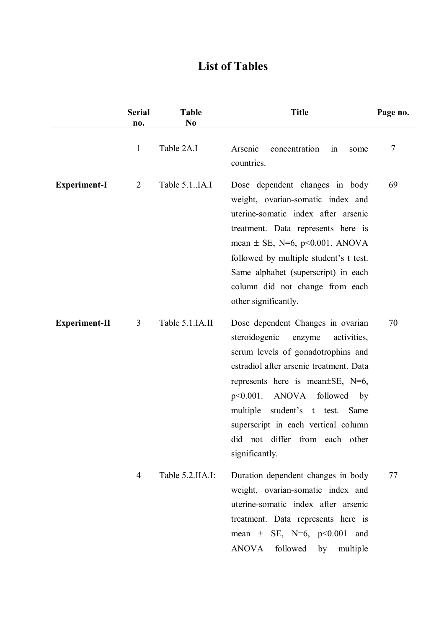## **List of Tables**

|                      | <b>Serial</b><br>no. | <b>Table</b><br>N <sub>0</sub> | <b>Title</b>                                                                                                                                                                                                                                                                                                                                                                                | Page no. |
|----------------------|----------------------|--------------------------------|---------------------------------------------------------------------------------------------------------------------------------------------------------------------------------------------------------------------------------------------------------------------------------------------------------------------------------------------------------------------------------------------|----------|
|                      | $\mathbf{1}$         | Table 2A.I                     | Arsenic<br>concentration<br>$\sin$<br>some<br>countries.                                                                                                                                                                                                                                                                                                                                    | 7        |
| <b>Experiment-I</b>  | $\overline{2}$       | Table 5.1IA.I                  | Dose dependent changes in body<br>weight, ovarian-somatic index and<br>uterine-somatic index after arsenic<br>treatment. Data represents here is<br>mean $\pm$ SE, N=6, p<0.001. ANOVA<br>followed by multiple student's t test.<br>Same alphabet (superscript) in each<br>column did not change from each<br>other significantly.                                                          | 69       |
| <b>Experiment-II</b> | 3                    | Table 5.1.IA.II                | Dose dependent Changes in ovarian<br>steroidogenic<br>activities,<br>enzyme<br>serum levels of gonadotrophins and<br>estradiol after arsenic treatment. Data<br>represents here is mean $\pm$ SE, N=6,<br><b>ANOVA</b><br>followed<br>$p<0.001$ .<br>by<br>student's t test.<br>multiple<br>Same<br>superscript in each vertical column<br>did not differ from each other<br>significantly. | 70       |
|                      | 4                    | Table 5.2.IIA.I:               | Duration dependent changes in body<br>weight, ovarian-somatic index and<br>uterine-somatic index after arsenic<br>treatment. Data represents here is<br>mean $\pm$ SE, N=6, p<0.001 and<br><b>ANOVA</b><br>followed<br>multiple<br>by                                                                                                                                                       | 77       |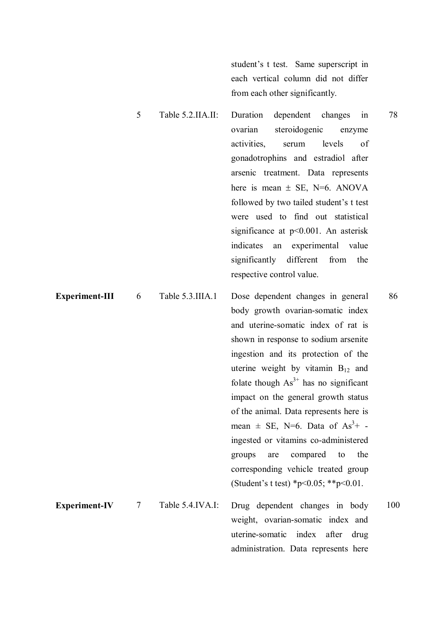student's t test. Same superscript in each vertical column did not differ from each other significantly.

- 5 Table 5.2.IIA.II: Duration dependent changes in ovarian steroidogenic enzyme activities, serum levels of gonadotrophins and estradiol after arsenic treatment. Data represents here is mean  $\pm$  SE, N=6. ANOVA followed by two tailed student's t test were used to find out statistical significance at p<0.001. An asterisk indicates an experimental value significantly different from the respective control value.
- **Experiment-III** 6 Table 5.3.IIIA.1 Dose dependent changes in general body growth ovarian-somatic index and uterine-somatic index of rat is shown in response to sodium arsenite ingestion and its protection of the uterine weight by vitamin  $B_{12}$  and folate though  $As<sup>3+</sup>$  has no significant impact on the general growth status of the animal. Data represents here is mean  $\pm$  SE, N=6. Data of As<sup>3</sup>+ ingested or vitamins co-administered groups are compared to the corresponding vehicle treated group (Student's t test) \*p<0.05; \*\*p<0.01. 86 **Experiment-IV** 7 Table 5.4.IVA.I: Drug dependent changes in body weight, ovarian-somatic index and uterine-somatic index after drug administration. Data represents here 100

78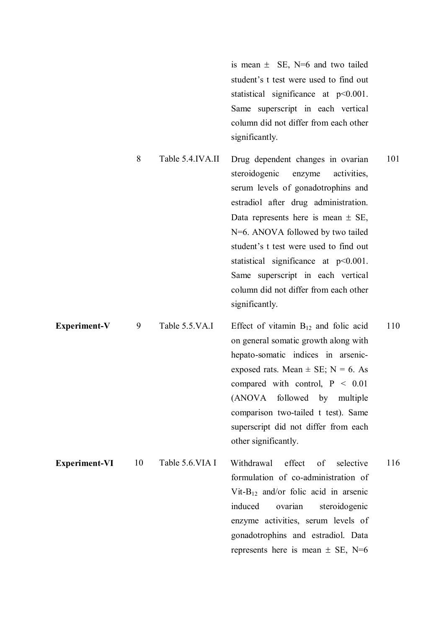is mean  $\pm$  SE, N=6 and two tailed student's t test were used to find out statistical significance at p<0.001. Same superscript in each vertical column did not differ from each other significantly.

enzyme activities, serum levels of gonadotrophins and estradiol. Data

represents here is mean  $\pm$  SE, N=6

- 8 Table 5.4.IVA.II Drug dependent changes in ovarian steroidogenic enzyme activities, serum levels of gonadotrophins and estradiol after drug administration. Data represents here is mean  $\pm$  SE, N=6. ANOVA followed by two tailed student's t test were used to find out statistical significance at  $p<0.001$ . Same superscript in each vertical column did not differ from each other significantly. 101 **Experiment-V** 9 Table 5.5.VA.I Effect of vitamin  $B_{12}$  and folic acid 110
- on general somatic growth along with hepato-somatic indices in arsenicexposed rats. Mean  $\pm$  SE; N = 6. As compared with control,  $P < 0.01$ (ANOVA followed by multiple comparison two-tailed t test). Same superscript did not differ from each other significantly. **Experiment-VI** 10 Table 5.6. VIA I Withdrawal effect of selective formulation of co-administration of Vit-B<sub>12</sub> and/or folic acid in arsenic induced ovarian steroidogenic 116